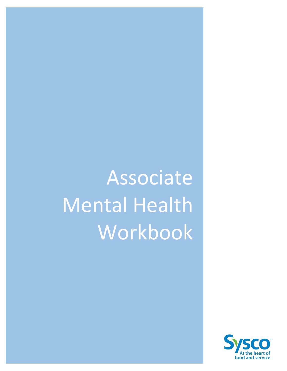# Associate Mental Health Workbook

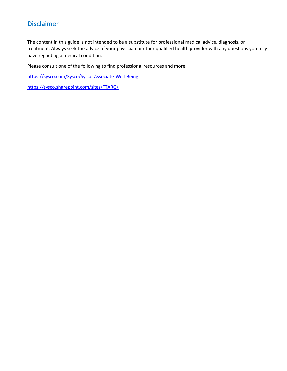# Disclaimer

The content in this guide is not intended to be a substitute for professional medical advice, diagnosis, or treatment. Always seek the advice of your physician or other qualified health provider with any questions you may have regarding a medical condition.

Please consult one of the following to find professional resources and more:

https://sysco.com/Sysco/Sysco-Associate-Well-Being

https://sysco.sharepoint.com/sites/FTARG/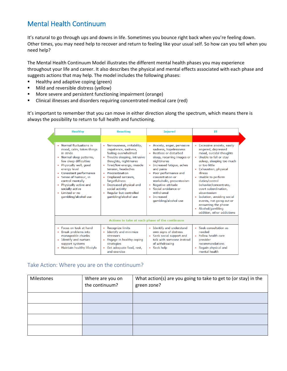# Mental Health Continuum

It's natural to go through ups and downs in life. Sometimes you bounce right back when you're feeling down. Other times, you may need help to recover and return to feeling like your usual self. So how can you tell when you need help?

The Mental Health Continuum Model illustrates the different mental health phases you may experience throughout your life and career. It also describes the physical and mental effects associated with each phase and suggests actions that may help. The model includes the following phases:

- Healthy and adaptive coping (green)
- **Mild and reversible distress (yellow)**
- More severe and persistent functioning impairment (orange)
- Clinical illnesses and disorders requiring concentrated medical care (red)

It's important to remember that you can move in either direction along the spectrum, which means there is always the possibility to return to full health and functioning.

| <b>Healthy</b>                                                                                                                                                                                                                                                                                                                        | <b>Reacting</b>                                                                                                                                                                                                                                                                                                                                                              | <b>Injured</b>                                                                                                                                                                                                                                                                                                                                    | TII                                                                                                                                                                                                                                                                                                                                                                                                                                                  |
|---------------------------------------------------------------------------------------------------------------------------------------------------------------------------------------------------------------------------------------------------------------------------------------------------------------------------------------|------------------------------------------------------------------------------------------------------------------------------------------------------------------------------------------------------------------------------------------------------------------------------------------------------------------------------------------------------------------------------|---------------------------------------------------------------------------------------------------------------------------------------------------------------------------------------------------------------------------------------------------------------------------------------------------------------------------------------------------|------------------------------------------------------------------------------------------------------------------------------------------------------------------------------------------------------------------------------------------------------------------------------------------------------------------------------------------------------------------------------------------------------------------------------------------------------|
|                                                                                                                                                                                                                                                                                                                                       |                                                                                                                                                                                                                                                                                                                                                                              |                                                                                                                                                                                                                                                                                                                                                   |                                                                                                                                                                                                                                                                                                                                                                                                                                                      |
| Normal fluctuations in<br>mood, calm, takes things<br>in stride<br>• Normal sleep patterns,<br>few sleep difficulties<br>• Physically well, good<br>energy level<br>• Consistent performance<br>Sense of humour, in<br>٠<br>control mentally<br>• Physically active and<br>socially active<br>• Limited or no<br>gambling/alcohol use | Nervousness, irritability,<br>impatience, sadness,<br>feeling overwhelmed<br>Trouble sleeping, intrusive<br>٠<br>thoughts, nightmares<br>Tired/low energy, muscle<br>÷<br>tension, headaches<br>Procrastination<br>$\bullet$<br>Displaced sarcasm,<br>٠<br>forgetfulness<br>Decreased physical and<br>٠<br>social activity<br>Regular but controlled<br>gambling/alcohol use | • Anxiety, anger, pervasive<br>sadness, hopelessness<br>• Restless or disturbed<br>sleep, recurring images or<br>nightmares<br>• Increased fatigue, aches<br>and pains<br>• Poor performance and<br>concentration or<br>workaholic, presenteeism<br>Negative attitude<br>Social avoidance or<br>withdrawal<br>• Increased<br>gambling/alcohol use | • Excessive anxiety, easily<br>angered, depressed<br>mood, suicidal thoughts<br>• Unable to fall or stav<br>asleep, sleeping too much<br>or too little<br>• Exhaustion, physical<br>illness<br>• Unable to perform<br>duties/control<br>behavior/concentrate,<br>overt subordination.<br>absenteeism<br>Isolation, avoiding social<br>$\bullet$<br>events, not going out or<br>answering the phone<br>Alcohol/gambling<br>addition, other addictions |
|                                                                                                                                                                                                                                                                                                                                       |                                                                                                                                                                                                                                                                                                                                                                              | Actions to take at each phase of the continuum                                                                                                                                                                                                                                                                                                    |                                                                                                                                                                                                                                                                                                                                                                                                                                                      |
| • Focus on task at hand<br><b>Break problems into</b><br>٠<br>manageable chunks<br>• Identify and nurture<br>support systems<br>• Maintain healthy lifestyle                                                                                                                                                                          | <b>Recognize limits</b><br>۰<br>Identify and minimize<br>۰<br>stressors<br>Engage in healthy coping<br>٠<br>strategies<br>Get adequate food, rest,<br>and exercise                                                                                                                                                                                                           | • Identify and understand<br>own signs of distress<br>• Seek social support and<br>talk with someone instead<br>of withdrawing<br>• Seek help                                                                                                                                                                                                     | • Seek consultation as<br>needed<br>• Follow health care<br>provider<br>recommendations<br>• Regain physical and<br>mental health                                                                                                                                                                                                                                                                                                                    |

### Take Action: Where you are on the continuum?

| Milestones | Where are you on<br>the continuum? | What action(s) are you going to take to get to (or stay) in the<br>green zone? |
|------------|------------------------------------|--------------------------------------------------------------------------------|
|            |                                    |                                                                                |
|            |                                    |                                                                                |
|            |                                    |                                                                                |
|            |                                    |                                                                                |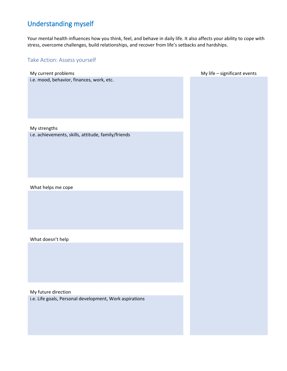# Understanding myself

Your mental health influences how you think, feel, and behave in daily life. It also affects your ability to cope with stress, overcome challenges, build relationships, and recover from life's setbacks and hardships.

# Take Action: Assess yourself

| My current problems                                                 | My life - significant events |
|---------------------------------------------------------------------|------------------------------|
| i.e. mood, behavior, finances, work, etc.                           |                              |
|                                                                     |                              |
| My strengths<br>i.e. achievements, skills, attitude, family/friends |                              |
|                                                                     |                              |
| What helps me cope                                                  |                              |
|                                                                     |                              |
| What doesn't help                                                   |                              |
|                                                                     |                              |
| My future direction                                                 |                              |
| i.e. Life goals, Personal development, Work aspirations             |                              |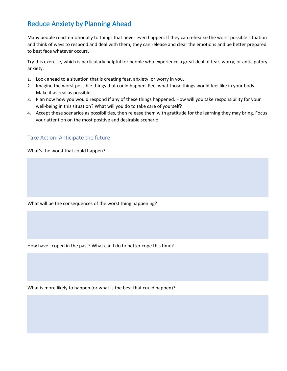# Reduce Anxiety by Planning Ahead

Many people react emotionally to things that never even happen. If they can rehearse the worst possible situation and think of ways to respond and deal with them, they can release and clear the emotions and be better prepared to best face whatever occurs.

Try this exercise, which is particularly helpful for people who experience a great deal of fear, worry, or anticipatory anxiety.

- 1. Look ahead to a situation that is creating fear, anxiety, or worry in you.
- 2. Imagine the worst possible things that could happen. Feel what those things would feel like in your body. Make it as real as possible.
- 3. Plan now how you would respond if any of these things happened. How will you take responsibility for your well-being in this situation? What will you do to take care of yourself?
- 4. Accept these scenarios as possibilities, then release them with gratitude for the learning they may bring. Focus your attention on the most positive and desirable scenario.

# Take Action: Anticipate the future

What's the worst that could happen?

What will be the consequences of the worst thing happening?

How have I coped in the past? What can I do to better cope this time?

What is more likely to happen (or what is the best that could happen)?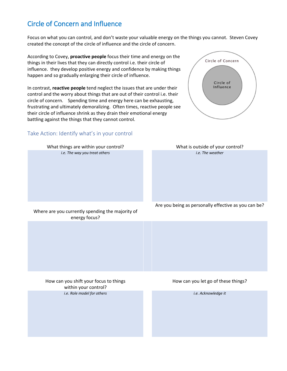# Circle of Concern and Influence

Focus on what you can control, and don't waste your valuable energy on the things you cannot. Steven Covey created the concept of the circle of influence and the circle of concern.

Circle of Concern

Circle of Influence

According to Covey, **proactive people** focus their time and energy on the things in their lives that they can directly control i.e. their circle of influence. they develop positive energy and confidence by making things happen and so gradually enlarging their circle of influence.

In contrast, **reactive people** tend neglect the issues that are under their control and the worry about things that are out of their control i.e. their circle of concern. Spending time and energy here can be exhausting, frustrating and ultimately demoralizing. Often times, reactive people see their circle of influence shrink as they drain their emotional energy battling against the things that they cannot control.

### Take Action: Identify what's in your control

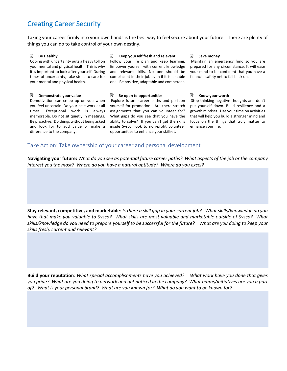# Creating Career Security

Taking your career firmly into your own hands is the best way to feel secure about your future. There are plenty of things you can do to take control of your own destiny.

#### $\overline{\mathscr{Q}}$ **Be Healthy**

Coping with uncertainty puts a heavy toll on your mental and physical health. This is why it is important to look after yourself. During times of uncertainty, take steps to care for your mental and physical health.

#### **Demonstrate your value**

Demotivation can creep up on you when you feel uncertain. Do your best work at all times. Exceptional work is always memorable. Do not sit quietly in meetings. Be proactive. Do things without being asked and look for to add value or make a difference to the company.

#### 52 **Keep yourself fresh and relevant**

Follow your life plan and keep learning. Empower yourself with current knowledge and relevant skills. No one should be complacent in their job even if it is a stable one. Be positive, adaptable and competent.

#### EQ. **Be open to opportunities**

 Explore future career paths and position yourself for promotion. Are there stretch assignments that you can volunteer for? What gaps do you see that you have the ability to solve? If you can't get the skills inside Sysco, look to non-profit volunteer opportunities to enhance your skillset.

#### $\overline{\mathscr{O}}$ **Save money**

Maintain an emergency fund so you are prepared for any circumstance. It will ease your mind to be confident that you have a financial safety net to fall back on.

#### -4 **Know your worth**

Stop thinking negative thoughts and don't put yourself down. Build resilience and a growth mindset. Use your time on activities that will help you build a stronger mind and focus on the things that truly matter to enhance your life.

#### Take Action: Take ownership of your career and personal development

**Navigating your future:** *What do you see as potential future career paths? What aspects of the job or the company interest you the most? Where do you have a natural aptitude? Where do you excel?*

**Stay relevant, competitive, and marketable**: *Is there a skill gap in your current job? What skills/knowledge do you have that make you valuable to Sysco? What skills are most valuable and marketable outside of Sysco? What skills/knowledge do you need to prepare yourself to be successful for the future? What are you doing to keep your skills fresh, current and relevant?*

**Build your reputation**: *What special accomplishments have you achieved? What work have you done that gives you pride? What are you doing to network and get noticed in the company? What teams/initiatives are you a part of? What is your personal brand? What are you known for? What do you want to be known for?*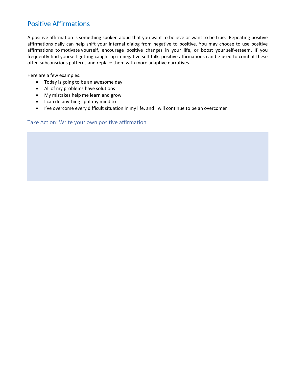# Positive Affirmations

A positive affirmation is something spoken aloud that you want to believe or want to be true. Repeating positive affirmations daily can help shift your internal dialog from negative to positive. You may choose to use positive affirmations to motivate yourself, encourage positive changes in your life, or boost your self-esteem. If you frequently find yourself getting caught up in negative self-talk, positive affirmations can be used to combat these often subconscious patterns and replace them with more adaptive narratives.

Here are a few examples:

- Today is going to be an awesome day
- All of my problems have solutions
- My mistakes help me learn and grow
- I can do anything I put my mind to
- I've overcome every difficult situation in my life, and I will continue to be an overcomer

#### Take Action: Write your own positive affirmation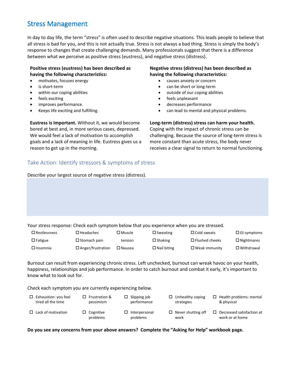# Stress Management

In day to day life, the term "stress" is often used to describe negative situations. This leads people to believe that all stress is bad for you, and this is not actually true. Stress is not always a bad thing. Stress is simply the body's response to changes that create challenging demands. Many professionals suggest that there is a difference between what we perceive as positive stress (eustress), and negative stress (distress).

#### **Positive stress (eustress) has been described as having the following characteristics:**

- motivates, focuses energy
- is short-term
- within our coping abilities
- feels exciting
- improves performance.
- Keeps life exciting and fulfilling.

**Eustress is important.** Without it, we would become bored at best and, in more serious cases, depressed. We would feel a lack of motivation to accomplish goals and a lack of meaning in life. Eustress gives us a reason to get up in the morning.

# Take Action: Identify stressors & symptoms of stress

Describe your largest source of negative stress (distress).

#### **Negative stress (distress) has been described as having the following characteristics:**

- causes anxiety or concern
- can be short or long-term
- outside of our coping abilities
- feels unpleasant
- decreases performance
- can lead to mental and physical problems.

#### **Long-term (distress) stress can harm your health.**

Coping with the impact of chronic stress can be challenging. Because the source of long-term stress is more constant than acute stress, the body never receives a clear signal to return to normal functioning.

Your stress response: Check each symptom below that you experience when you are stressed.

| $\Box$ Restlessness | $\square$ Headaches      | $\square$ Muscle | $\square$ Sweating | $\Box$ Cold sweats    | $\Box$ GI symptoms |
|---------------------|--------------------------|------------------|--------------------|-----------------------|--------------------|
| $\Box$ Fatigue      | $\Box$ Stomach pain      | tension          | $\Box$ Shaking     | $\Box$ Flushed cheeks | $\Box$ Nightmares  |
| $\Box$ Insomnia     | $\Box$ Anger/frustration | $\square$ Nausea | $\Box$ Nail biting | $\Box$ Weak immunity  | $\Box$ Withdrawal  |

Burnout can result from experiencing chronic stress. Left unchecked, burnout can wreak havoc on your health, happiness, relationships and job performance. In order to catch burnout and combat it early, it's important to know what to look out for.

Check each symptom you are currently experiencing below.

- $\square$  Exhaustion: you feel tired all the time
- □ Frustration & pessimism
- $\square$  Slipping job performance
- 
- $\Box$  Unhealthy coping strategies
- $\Box$  Health problems: mental & physical
- $\square$  Lack of motivation
- $\square$  Cognitive problems
- $\square$  Interpersonal problems
	- $\Box$  Never shutting off work
		- D Decreased satisfaction at work or at home

**Do you see any concerns from your above answers? Complete the "Asking for Help" workbook page.**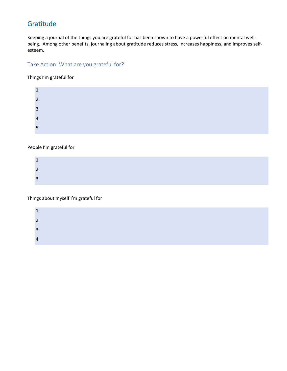# Gratitude

Keeping a journal of the things you are grateful for has been shown to have a powerful effect on mental wellbeing. Among other benefits, journaling about gratitude reduces stress, increases happiness, and improves selfesteem.

# Take Action: What are you grateful for?

Things I'm grateful for

| <b>.</b> |  |  |  |
|----------|--|--|--|
| 2.       |  |  |  |
| 3.       |  |  |  |
| 4.       |  |  |  |
| 5.       |  |  |  |

#### People I'm grateful for

| <b>.</b> |  |  |
|----------|--|--|
|          |  |  |
| ∽<br>J.  |  |  |

Things about myself I'm grateful for

| ำ<br><u>.</u><br>3. | $\mathbf{A}$ |  |  |
|---------------------|--------------|--|--|
|                     |              |  |  |
|                     |              |  |  |
|                     | 4.           |  |  |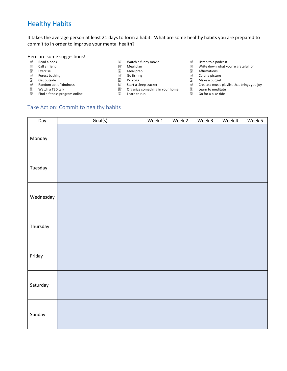# Healthy Habits

It takes the average person at least 21 days to form a habit. What are some healthy habits you are prepared to commit to in order to improve your mental health?

# Here are some suggestions!<br> **E** Read a book

- 
- $\bar{\mathbb{Z}}$
- $\overline{\mathbb{Z}}$
- Ø
- 
- $\overline{\mathbb{C}}$  Get outside Center of kindness and  $\overline{\mathbb{C}}$  bo yoga Do Yoga Do Yoga Do Yoga Do Wake a budget Center a music
- $\bar{z}$
- **E** Find a fitness program online **Learn to run** Learn to run **Learn to run** B Go for a bike ride
- 
- Read a book Watch a funny movie Listen to a podcast
- 
- 
- 
- 
- 
- Watch a TED talk  $\Box$  Organize something in your home  $\Box$  Learn to meditate<br>
E Learn to run  $\Box$  Learn to run  $\Box$  Go for a bike ride
	-
- 
- Call a friend  $\Box$  Theal plan  $\Box$  Meal plan  $\Box$  Write down what you're grateful for expansion of the Meal prep of the mean of the Meal prep of the Meal prep of the Meal prep of the Meal prep of the Meal prep of the Meal
- Exercise and the settle of the settle of the settle of the Meal prep and the means of the Second Meal prep and <br>
The Second Mean of the Second Mean of the Second Mean of the Second Meal of the Second Mean of the Second Me
	-
	-
	- **EXECUS** Start a sleep tracker **CRANG** Create a music playlist that brings you joy Create a music playlist that brings you joy
		-

### Take Action: Commit to healthy habits

| Day       | Goal(s) | Week 1 | Week 2 | Week 3 | Week 4 | Week 5 |
|-----------|---------|--------|--------|--------|--------|--------|
| Monday    |         |        |        |        |        |        |
| Tuesday   |         |        |        |        |        |        |
| Wednesday |         |        |        |        |        |        |
| Thursday  |         |        |        |        |        |        |
| Friday    |         |        |        |        |        |        |
| Saturday  |         |        |        |        |        |        |
| Sunday    |         |        |        |        |        |        |

- -
- $\overline{\mathbb{C}}$  Forest bathing  $\overline{\mathbb{C}}$  and  $\overline{\mathbb{C}}$  and  $\overline{\mathbb{C}}$  are color a picture  $\overline{\mathbb{C}}$  and  $\overline{\mathbb{C}}$  and  $\overline{\mathbb{C}}$  are color a picture  $\overline{\mathbb{C}}$  and  $\overline{\mathbb{C}}$  and  $\overline{\mathbb{C}}$  and  $\overline{\mathbb{C}}$  and  $\$ 
	- -
		-